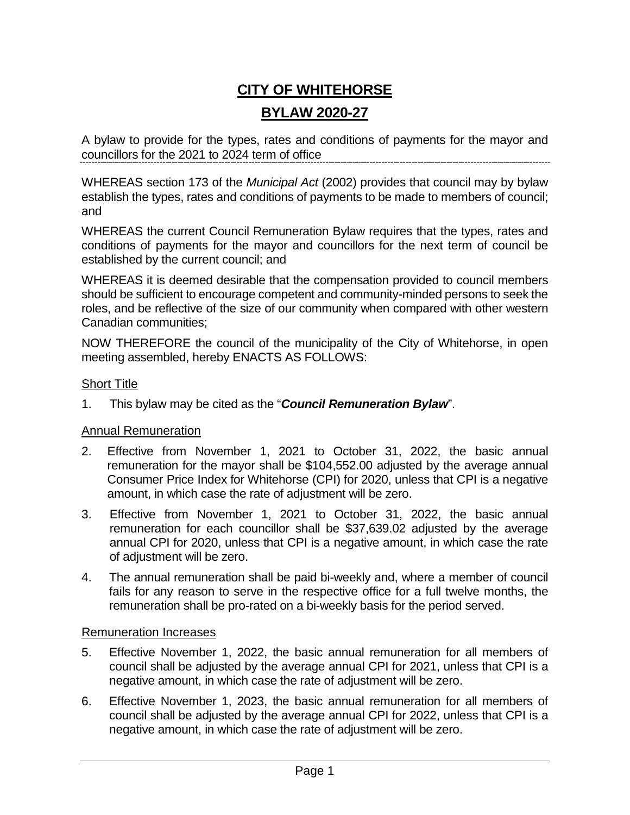# **CITY OF WHITEHORSE BYLAW 2020-27**

A bylaw to provide for the types, rates and conditions of payments for the mayor and councillors for the 2021 to 2024 term of office

WHEREAS section 173 of the *Municipal Act* (2002) provides that council may by bylaw establish the types, rates and conditions of payments to be made to members of council; and

WHEREAS the current Council Remuneration Bylaw requires that the types, rates and conditions of payments for the mayor and councillors for the next term of council be established by the current council; and

WHEREAS it is deemed desirable that the compensation provided to council members should be sufficient to encourage competent and community-minded persons to seek the roles, and be reflective of the size of our community when compared with other western Canadian communities;

NOW THEREFORE the council of the municipality of the City of Whitehorse, in open meeting assembled, hereby ENACTS AS FOLLOWS:

## Short Title

1. This bylaw may be cited as the "*Council Remuneration Bylaw*".

## Annual Remuneration

- 2. Effective from November 1, 2021 to October 31, 2022, the basic annual remuneration for the mayor shall be \$104,552.00 adjusted by the average annual Consumer Price Index for Whitehorse (CPI) for 2020, unless that CPI is a negative amount, in which case the rate of adjustment will be zero.
- 3. Effective from November 1, 2021 to October 31, 2022, the basic annual remuneration for each councillor shall be \$37,639.02 adjusted by the average annual CPI for 2020, unless that CPI is a negative amount, in which case the rate of adjustment will be zero.
- 4. The annual remuneration shall be paid bi-weekly and, where a member of council fails for any reason to serve in the respective office for a full twelve months, the remuneration shall be pro-rated on a bi-weekly basis for the period served.

## Remuneration Increases

- 5. Effective November 1, 2022, the basic annual remuneration for all members of council shall be adjusted by the average annual CPI for 2021, unless that CPI is a negative amount, in which case the rate of adjustment will be zero.
- 6. Effective November 1, 2023, the basic annual remuneration for all members of council shall be adjusted by the average annual CPI for 2022, unless that CPI is a negative amount, in which case the rate of adjustment will be zero.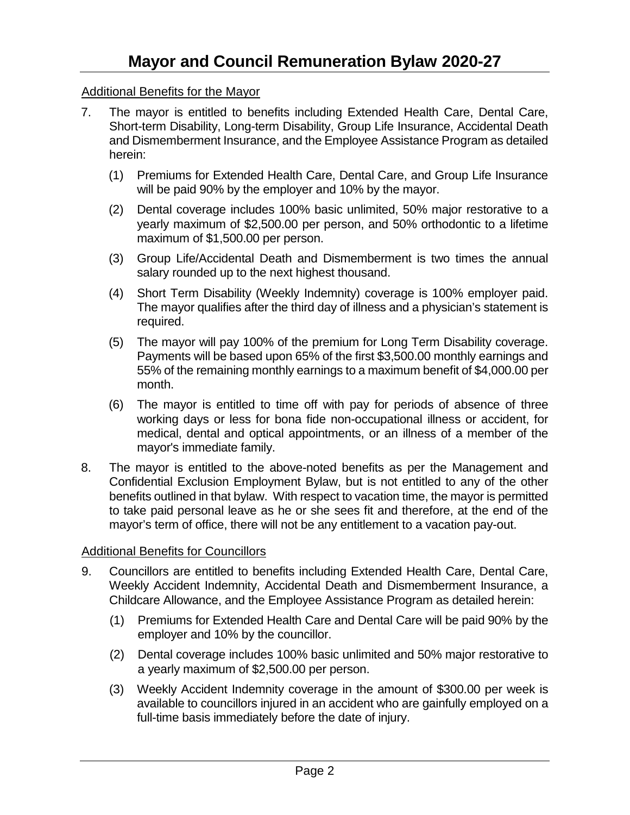## Additional Benefits for the Mayor

- 7. The mayor is entitled to benefits including Extended Health Care, Dental Care, Short-term Disability, Long-term Disability, Group Life Insurance, Accidental Death and Dismemberment Insurance, and the Employee Assistance Program as detailed herein:
	- (1) Premiums for Extended Health Care, Dental Care, and Group Life Insurance will be paid 90% by the employer and 10% by the mayor.
	- (2) Dental coverage includes 100% basic unlimited, 50% major restorative to a yearly maximum of \$2,500.00 per person, and 50% orthodontic to a lifetime maximum of \$1,500.00 per person.
	- (3) Group Life/Accidental Death and Dismemberment is two times the annual salary rounded up to the next highest thousand.
	- (4) Short Term Disability (Weekly Indemnity) coverage is 100% employer paid. The mayor qualifies after the third day of illness and a physician's statement is required.
	- (5) The mayor will pay 100% of the premium for Long Term Disability coverage. Payments will be based upon 65% of the first \$3,500.00 monthly earnings and 55% of the remaining monthly earnings to a maximum benefit of \$4,000.00 per month.
	- (6) The mayor is entitled to time off with pay for periods of absence of three working days or less for bona fide non-occupational illness or accident, for medical, dental and optical appointments, or an illness of a member of the mayor's immediate family.
- 8. The mayor is entitled to the above-noted benefits as per the Management and Confidential Exclusion Employment Bylaw, but is not entitled to any of the other benefits outlined in that bylaw. With respect to vacation time, the mayor is permitted to take paid personal leave as he or she sees fit and therefore, at the end of the mayor's term of office, there will not be any entitlement to a vacation pay-out.

## Additional Benefits for Councillors

- 9. Councillors are entitled to benefits including Extended Health Care, Dental Care, Weekly Accident Indemnity, Accidental Death and Dismemberment Insurance, a Childcare Allowance, and the Employee Assistance Program as detailed herein:
	- (1) Premiums for Extended Health Care and Dental Care will be paid 90% by the employer and 10% by the councillor.
	- (2) Dental coverage includes 100% basic unlimited and 50% major restorative to a yearly maximum of \$2,500.00 per person.
	- (3) Weekly Accident Indemnity coverage in the amount of \$300.00 per week is available to councillors injured in an accident who are gainfully employed on a full-time basis immediately before the date of injury.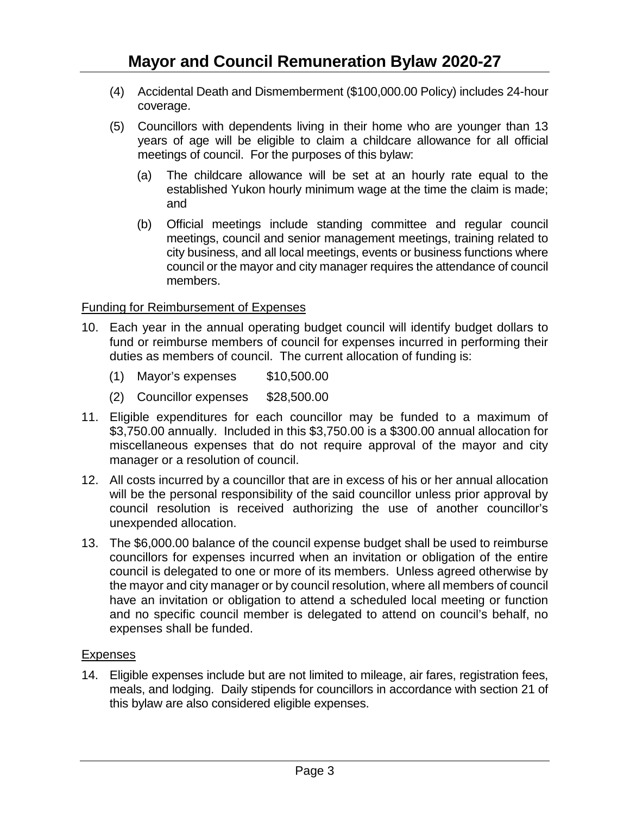- (4) Accidental Death and Dismemberment (\$100,000.00 Policy) includes 24-hour coverage.
- (5) Councillors with dependents living in their home who are younger than 13 years of age will be eligible to claim a childcare allowance for all official meetings of council. For the purposes of this bylaw:
	- (a) The childcare allowance will be set at an hourly rate equal to the established Yukon hourly minimum wage at the time the claim is made; and
	- (b) Official meetings include standing committee and regular council meetings, council and senior management meetings, training related to city business, and all local meetings, events or business functions where council or the mayor and city manager requires the attendance of council members.

# Funding for Reimbursement of Expenses

- 10. Each year in the annual operating budget council will identify budget dollars to fund or reimburse members of council for expenses incurred in performing their duties as members of council. The current allocation of funding is:
	- (1) Mayor's expenses \$10,500.00
	- (2) Councillor expenses \$28,500.00
- 11. Eligible expenditures for each councillor may be funded to a maximum of \$3,750.00 annually. Included in this \$3,750.00 is a \$300.00 annual allocation for miscellaneous expenses that do not require approval of the mayor and city manager or a resolution of council.
- 12. All costs incurred by a councillor that are in excess of his or her annual allocation will be the personal responsibility of the said councillor unless prior approval by council resolution is received authorizing the use of another councillor's unexpended allocation.
- 13. The \$6,000.00 balance of the council expense budget shall be used to reimburse councillors for expenses incurred when an invitation or obligation of the entire council is delegated to one or more of its members. Unless agreed otherwise by the mayor and city manager or by council resolution, where all members of council have an invitation or obligation to attend a scheduled local meeting or function and no specific council member is delegated to attend on council's behalf, no expenses shall be funded.

## **Expenses**

14. Eligible expenses include but are not limited to mileage, air fares, registration fees, meals, and lodging. Daily stipends for councillors in accordance with section 21 of this bylaw are also considered eligible expenses.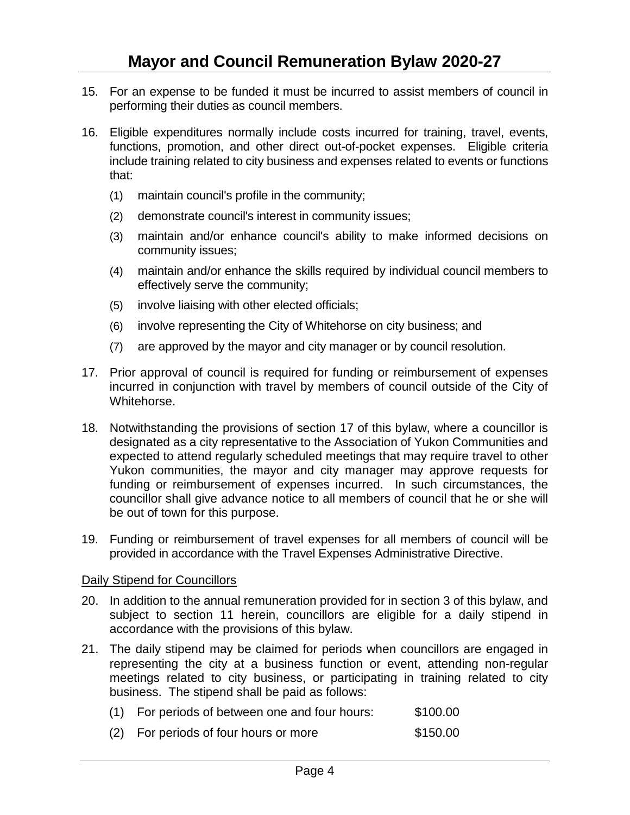- 15. For an expense to be funded it must be incurred to assist members of council in performing their duties as council members.
- 16. Eligible expenditures normally include costs incurred for training, travel, events, functions, promotion, and other direct out-of-pocket expenses. Eligible criteria include training related to city business and expenses related to events or functions that:
	- (1) maintain council's profile in the community;
	- (2) demonstrate council's interest in community issues;
	- (3) maintain and/or enhance council's ability to make informed decisions on community issues;
	- (4) maintain and/or enhance the skills required by individual council members to effectively serve the community;
	- (5) involve liaising with other elected officials;
	- (6) involve representing the City of Whitehorse on city business; and
	- (7) are approved by the mayor and city manager or by council resolution.
- 17. Prior approval of council is required for funding or reimbursement of expenses incurred in conjunction with travel by members of council outside of the City of Whitehorse.
- 18. Notwithstanding the provisions of section 17 of this bylaw, where a councillor is designated as a city representative to the Association of Yukon Communities and expected to attend regularly scheduled meetings that may require travel to other Yukon communities, the mayor and city manager may approve requests for funding or reimbursement of expenses incurred. In such circumstances, the councillor shall give advance notice to all members of council that he or she will be out of town for this purpose.
- 19. Funding or reimbursement of travel expenses for all members of council will be provided in accordance with the Travel Expenses Administrative Directive.

## Daily Stipend for Councillors

- 20. In addition to the annual remuneration provided for in section 3 of this bylaw, and subject to section 11 herein, councillors are eligible for a daily stipend in accordance with the provisions of this bylaw.
- 21. The daily stipend may be claimed for periods when councillors are engaged in representing the city at a business function or event, attending non-regular meetings related to city business, or participating in training related to city business. The stipend shall be paid as follows:

| (1) For periods of between one and four hours: | \$100.00 |
|------------------------------------------------|----------|
|                                                |          |

(2) For periods of four hours or more \$150.00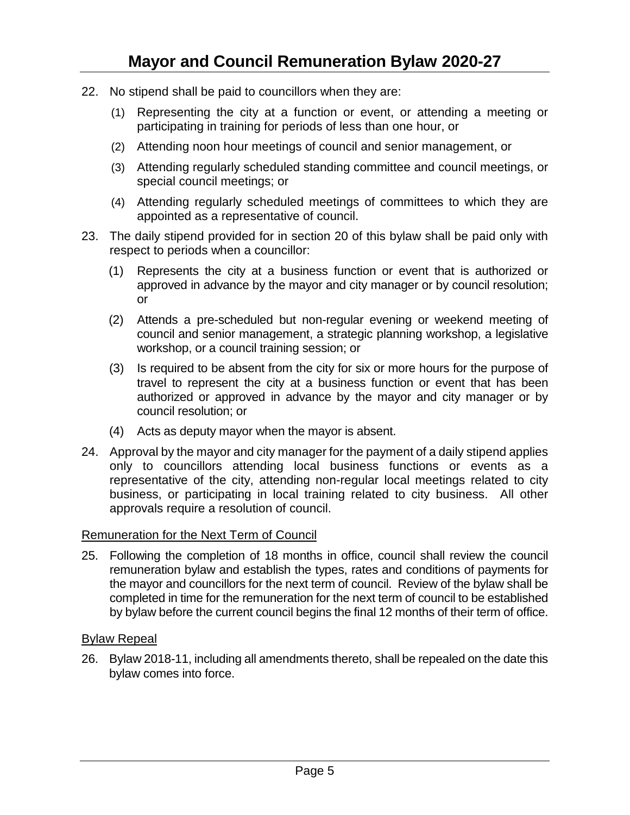- 22. No stipend shall be paid to councillors when they are:
	- (1) Representing the city at a function or event, or attending a meeting or participating in training for periods of less than one hour, or
	- (2) Attending noon hour meetings of council and senior management, or
	- (3) Attending regularly scheduled standing committee and council meetings, or special council meetings; or
	- (4) Attending regularly scheduled meetings of committees to which they are appointed as a representative of council.
- 23. The daily stipend provided for in section 20 of this bylaw shall be paid only with respect to periods when a councillor:
	- (1) Represents the city at a business function or event that is authorized or approved in advance by the mayor and city manager or by council resolution; or
	- (2) Attends a pre-scheduled but non-regular evening or weekend meeting of council and senior management, a strategic planning workshop, a legislative workshop, or a council training session; or
	- (3) Is required to be absent from the city for six or more hours for the purpose of travel to represent the city at a business function or event that has been authorized or approved in advance by the mayor and city manager or by council resolution; or
	- (4) Acts as deputy mayor when the mayor is absent.
- 24. Approval by the mayor and city manager for the payment of a daily stipend applies only to councillors attending local business functions or events as a representative of the city, attending non-regular local meetings related to city business, or participating in local training related to city business. All other approvals require a resolution of council.

## Remuneration for the Next Term of Council

25. Following the completion of 18 months in office, council shall review the council remuneration bylaw and establish the types, rates and conditions of payments for the mayor and councillors for the next term of council. Review of the bylaw shall be completed in time for the remuneration for the next term of council to be established by bylaw before the current council begins the final 12 months of their term of office.

## Bylaw Repeal

26. Bylaw 2018-11, including all amendments thereto, shall be repealed on the date this bylaw comes into force.